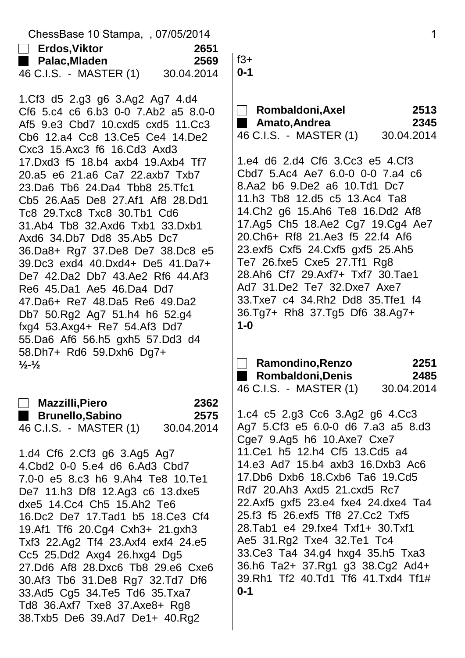| ChessBase 10 Stampa, , 07/05/2014                                                                                                                                                                                                                                                                                                                                                                                                                                                                                                                                                                                                                                                                                                                  | $\mathbf 1$                                                                                                                                                                                                                                                                                                                                                                                                                                                                                                                                                                        |  |  |
|----------------------------------------------------------------------------------------------------------------------------------------------------------------------------------------------------------------------------------------------------------------------------------------------------------------------------------------------------------------------------------------------------------------------------------------------------------------------------------------------------------------------------------------------------------------------------------------------------------------------------------------------------------------------------------------------------------------------------------------------------|------------------------------------------------------------------------------------------------------------------------------------------------------------------------------------------------------------------------------------------------------------------------------------------------------------------------------------------------------------------------------------------------------------------------------------------------------------------------------------------------------------------------------------------------------------------------------------|--|--|
| $\Box$ Erdos,Viktor<br>2651<br>Palac,Mladen<br>2569<br>46 C.I.S. - MASTER (1)<br>30.04.2014                                                                                                                                                                                                                                                                                                                                                                                                                                                                                                                                                                                                                                                        | $f3+$<br>$0 - 1$                                                                                                                                                                                                                                                                                                                                                                                                                                                                                                                                                                   |  |  |
| 1.Cf3 d5 2.g3 g6 3.Ag2 Ag7 4.d4<br>Cf6 5.c4 c6 6.b3 0-0 7.Ab2 a5 8.0-0<br>Af5 9.e3 Cbd7 10.cxd5 cxd5 11.Cc3<br>Cb6 12.a4 Cc8 13.Ce5 Ce4 14.De2<br>Cxc3 15.Axc3 f6 16.Cd3 Axd3<br>17.Dxd3 f5 18.b4 axb4 19.Axb4 Tf7<br>20.a5 e6 21.a6 Ca7 22.axb7 Txb7<br>23. Da6 Tb6 24. Da4 Tbb8 25. Tfc1<br>Cb5 26.Aa5 De8 27.Af1 Af8 28.Dd1<br>Tc8 29. Txc8 Txc8 30. Tb1 Cd6<br>31.Ab4 Tb8 32.Axd6 Txb1 33.Dxb1<br>Axd6 34.Db7 Dd8 35.Ab5 Dc7<br>36.Da8+ Rg7 37.De8 De7 38.Dc8 e5<br>39.Dc3 exd4 40.Dxd4+ De5 41.Da7+<br>De7 42.Da2 Db7 43.Ae2 Rf6 44.Af3<br>Re6 45.Da1 Ae5 46.Da4 Dd7<br>47. Da 6+ Re 7 48. Da 5 Re 6 49. Da 2<br>Db7 50.Rg2 Ag7 51.h4 h6 52.g4<br>fxg4 53.Axg4+ Re7 54.Af3 Dd7<br>55.Da6 Af6 56.h5 gxh5 57.Dd3 d4<br>58.Dh7+ Rd6 59.Dxh6 Dg7+ | Rombaldoni, Axel<br>2513<br><b>Amato, Andrea</b><br>2345<br>46 C.I.S. - MASTER (1)<br>30.04.2014<br>1.e4 d6 2.d4 Cf6 3.Cc3 e5 4.Cf3<br>Cbd7 5.Ac4 Ae7 6.0-0 0-0 7.a4 c6<br>8.Aa2 b6 9.De2 a6 10.Td1 Dc7<br>11.h3 Tb8 12.d5 c5 13.Ac4 Ta8<br>14. Ch2 g6 15. Ah6 Te8 16. Dd2 Af8<br>17.Ag5 Ch5 18.Ae2 Cg7 19.Cg4 Ae7<br>20. Ch6+ Rf8 21. Ae3 f5 22. f4 Af6<br>23.exf5 Cxf5 24.Cxf5 gxf5 25.Ah5<br>Te7 26.fxe5 Cxe5 27.Tf1 Rg8<br>28.Ah6 Cf7 29.Axf7+ Txf7 30.Tae1<br>Ad7 31.De2 Te7 32.Dxe7 Axe7<br>33. Txe7 c4 34. Rh2 Dd8 35. Tfe1 f4<br>36.Tg7+ Rh8 37.Tg5 Df6 38.Ag7+<br>$1 - 0$ |  |  |
| $\frac{1}{2}$ - $\frac{1}{2}$                                                                                                                                                                                                                                                                                                                                                                                                                                                                                                                                                                                                                                                                                                                      | Ramondino, Renzo<br>2251<br>2485<br>Rombaldoni, Denis<br>46 C.I.S. - MASTER (1)<br>30.04.2014                                                                                                                                                                                                                                                                                                                                                                                                                                                                                      |  |  |
| 2362<br><b>Mazzilli,Piero</b><br>$\Box$<br>Brunello, Sabino<br>2575<br>46 C.I.S. - MASTER (1)<br>30.04.2014<br>1.d4 Cf6 2.Cf3 g6 3.Ag5 Ag7<br>4. Cbd2 0-0 5.e4 d6 6. Ad3 Cbd7<br>7.0-0 e5 8.c3 h6 9.Ah4 Te8 10.Te1<br>De7 11.h3 Df8 12.Ag3 c6 13.dxe5<br>dxe5 14.Cc4 Ch5 15.Ah2 Te6<br>16.Dc2 De7 17.Tad1 b5 18.Ce3 Cf4<br>19.Af1 Tf6 20.Cg4 Cxh3+ 21.gxh3<br>Txf3 22.Ag2 Tf4 23.Axf4 exf4 24.e5<br>Cc5 25.Dd2 Axg4 26.hxg4 Dg5<br>27.Dd6 Af8 28.Dxc6 Tb8 29.e6 Cxe6<br>30.Af3 Tb6 31.De8 Rg7 32.Td7 Df6<br>33.Ad5 Cg5 34.Te5 Td6 35.Txa7<br>Td8 36.Axf7 Txe8 37.Axe8+ Rg8<br>38.Txb5 De6 39.Ad7 De1+ 40.Rg2                                                                                                                                       | 1.c4 c5 2.g3 Cc6 3.Ag2 g6 4.Cc3<br>Ag7 5.Cf3 e5 6.0-0 d6 7.a3 a5 8.d3<br>Cge7 9.Ag5 h6 10.Axe7 Cxe7<br>11.Ce1 h5 12.h4 Cf5 13.Cd5 a4<br>14.e3 Ad7 15.b4 axb3 16.Dxb3 Ac6<br>17.Db6 Dxb6 18.Cxb6 Ta6 19.Cd5<br>Rd7 20.Ah3 Axd5 21.cxd5 Rc7<br>22.Axf5 gxf5 23.e4 fxe4 24.dxe4 Ta4<br>25.f3 f5 26.exf5 Tf8 27.Cc2 Txf5<br>28. Tab1 e4 29. fxe4 Txf1 + 30. Txf1<br>Ae5 31.Rg2 Txe4 32.Te1 Tc4<br>33. Ce 3 Ta 4 34. g 4 hxg 4 35. h 5 Txa 3<br>36.h6 Ta2+ 37.Rg1 g3 38.Cg2 Ad4+<br>39.Rh1 Tf2 40.Td1 Tf6 41.Txd4 Tf1#<br>$0 - 1$                                                       |  |  |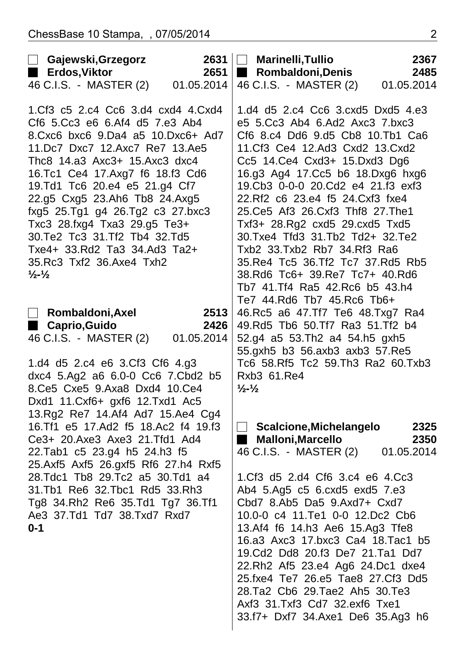| <b>□ Gajewski,Grzegorz</b><br>Erdos, Viktor<br>a ka                                                                                                                                                                                                                                                                                                                                                                                                                                        | 2631<br>2651               | <b>Marinelli, Tullio</b><br>$\mathcal{L}^{\text{max}}$<br>Rombaldoni, Denis                                                                                                                                                                                                                                                                                                                                                                                                                                                                                                         | 2367<br>2485               |
|--------------------------------------------------------------------------------------------------------------------------------------------------------------------------------------------------------------------------------------------------------------------------------------------------------------------------------------------------------------------------------------------------------------------------------------------------------------------------------------------|----------------------------|-------------------------------------------------------------------------------------------------------------------------------------------------------------------------------------------------------------------------------------------------------------------------------------------------------------------------------------------------------------------------------------------------------------------------------------------------------------------------------------------------------------------------------------------------------------------------------------|----------------------------|
| 46 C.I.S. - MASTER (2)                                                                                                                                                                                                                                                                                                                                                                                                                                                                     | 01.05.2014                 | 46 C.I.S. - MASTER (2)                                                                                                                                                                                                                                                                                                                                                                                                                                                                                                                                                              | 01.05.2014                 |
| 1.Cf3 c5 2.c4 Cc6 3.d4 cxd4 4.Cxd4<br>Cf6 5.Cc3 e6 6.Af4 d5 7.e3 Ab4<br>8. Cxc6 bxc6 9. Da4 a5 10. Dxc6+ Ad7<br>11.Dc7 Dxc7 12.Axc7 Re7 13.Ae5<br>Thc8 14.a3 Axc3+ 15.Axc3 dxc4<br>16.Tc1 Ce4 17.Axg7 f6 18.f3 Cd6<br>19.Td1 Tc6 20.e4 e5 21.g4 Cf7<br>22.g5 Cxg5 23.Ah6 Tb8 24.Axg5<br>fxg5 25.Tg1 g4 26.Tg2 c3 27.bxc3<br>Txc3 28.fxg4 Txa3 29.g5 Te3+<br>30. Te2 Tc3 31. Tf2 Tb4 32. Td5<br>Txe4+ 33.Rd2 Ta3 34.Ad3 Ta2+<br>35. Rc3 Txf2 36. Axe4 Txh2<br>$\frac{1}{2}$ - $\frac{1}{2}$ |                            | 1.d4 d5 2.c4 Cc6 3.cxd5 Dxd5 4.e3<br>e5 5.Cc3 Ab4 6.Ad2 Axc3 7.bxc3<br>Cf6 8.c4 Dd6 9.d5 Cb8 10.Tb1 Ca6<br>11.Cf3 Ce4 12.Ad3 Cxd2 13.Cxd2<br>Cc5 14.Ce4 Cxd3+ 15.Dxd3 Dg6<br>16.g3 Ag4 17.Cc5 b6 18.Dxg6 hxg6<br>19.Cb3 0-0-0 20.Cd2 e4 21.f3 exf3<br>22.Rf2 c6 23.e4 f5 24.Cxf3 fxe4<br>25. Ce5 Af3 26. Cxf3 Thf8 27. The 1<br>Txf3+ 28.Rg2 cxd5 29.cxd5 Txd5<br>30. Txe4 Tfd3 31. Tb2 Td2+ 32. Te2<br>Txb2 33. Txb2 Rb7 34. Rf3 Ra6<br>35. Re4 Tc5 36. Tf2 Tc7 37. Rd5 Rb5<br>38.Rd6 Tc6+ 39.Re7 Tc7+ 40.Rd6<br>Tb7 41. Tf4 Ra5 42. Rc6 b5 43. h4<br>Te7 44. Rd6 Tb7 45. Rc6 Tb6+ |                            |
| Rombaldoni, Axel<br>$\Box$<br>■ Caprio, Guido<br>46 C.I.S. - MASTER (2)<br>1.d4 d5 2.c4 e6 3.Cf3 Cf6 4.g3<br>dxc4 5.Ag2 a6 6.0-0 Cc6 7.Cbd2 b5<br>8.Ce5 Cxe5 9.Axa8 Dxd4 10.Ce4                                                                                                                                                                                                                                                                                                            | 2513<br>2426<br>01.05.2014 | 46. Rc5 a6 47. Tf7 Te6 48. Txg7 Ra4<br>49. Rd5 Tb6 50. Tf7 Ra3 51. Tf2 b4<br>52.g4 a5 53.Th2 a4 54.h5 gxh5<br>55.gxh5 b3 56.axb3 axb3 57.Re5<br>Tc6 58.Rf5 Tc2 59.Th3 Ra2 60.Txb3<br>Rxb3 61.Re4<br>$\frac{1}{2}$ - $\frac{1}{2}$                                                                                                                                                                                                                                                                                                                                                   |                            |
| Dxd1 11.Cxf6+ gxf6 12.Txd1 Ac5<br>13.Rg2 Re7 14.Af4 Ad7 15.Ae4 Cg4<br>16. Tf1 e5 17. Ad2 f5 18. Ac2 f4 19. f3<br>Ce3+ 20.Axe3 Axe3 21.Tfd1 Ad4<br>22. Tab1 c5 23. g4 h5 24. h3 f5<br>25.Axf5 Axf5 26.gxf5 Rf6 27.h4 Rxf5<br>28. Tdc1 Tb8 29. Tc2 a5 30. Td1 a4<br>31. Tb1 Re6 32. Tbc1 Rd5 33. Rh3<br>Tg8 34.Rh2 Re6 35.Td1 Tg7 36.Tf1<br>Ae3 37.Td1 Td7 38.Txd7 Rxd7<br>$0 - 1$                                                                                                           |                            | Scalcione, Michelangelo<br><b>Malloni, Marcello</b><br>46 C.I.S. - MASTER (2)<br>1.Cf3 d5 2.d4 Cf6 3.c4 e6 4.Cc3<br>Ab4 5.Ag5 c5 6.cxd5 exd5 7.e3<br>Cbd7 8.Ab5 Da5 9.Axd7+ Cxd7<br>10.0-0 c4 11. Te1 0-0 12. Dc2 Cb6<br>13.Af4 f6 14.h3 Ae6 15.Ag3 Tfe8<br>16.a3 Axc3 17.bxc3 Ca4 18.Tac1 b5<br>19.Cd2 Dd8 20.f3 De7 21.Ta1 Dd7<br>22.Rh2 Af5 23.e4 Ag6 24.Dc1 dxe4<br>25.fxe4 Te7 26.e5 Tae8 27.Cf3 Dd5<br>28. Ta2 Cb6 29. Tae2 Ah5 30. Te3<br>Axf3 31.Txf3 Cd7 32.exf6 Txe1<br>33.f7+ Dxf7 34.Axe1 De6 35.Ag3 h6                                                                 | 2325<br>2350<br>01.05.2014 |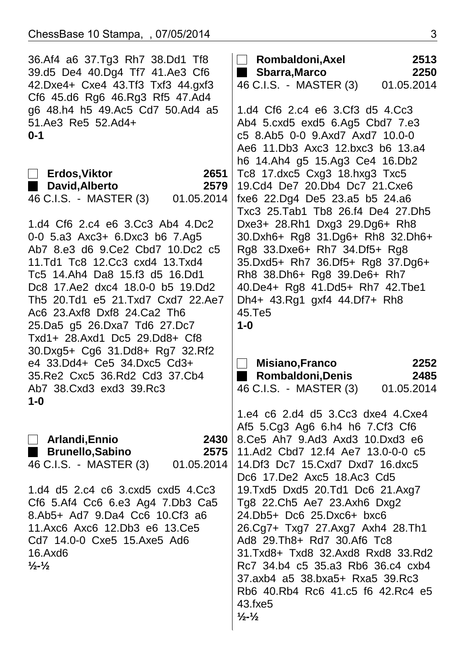| 36.Af4 a6 37.Tg3 Rh7 38.Dd1 Tf8   | Rombaldoni, Axel<br>$\blacksquare$  | 2513       |  |
|-----------------------------------|-------------------------------------|------------|--|
| 39.d5 De4 40.Dg4 Tf7 41.Ae3 Cf6   | Sbarra,Marco                        | 2250       |  |
| 42.Dxe4+ Cxe4 43.Tf3 Txf3 44.gxf3 | 46 C.I.S. - MASTER (3)              | 01.05.2014 |  |
| Cf6 45.d6 Rg6 46.Rg3 Rf5 47.Ad4   |                                     |            |  |
| g6 48.h4 h5 49.Ac5 Cd7 50.Ad4 a5  | 1.d4 Cf6 2.c4 e6 3.Cf3 d5 4.Cc3     |            |  |
| 51.Ae3 Re5 52.Ad4+                | Ab4 5.cxd5 exd5 6.Ag5 Cbd7 7.e3     |            |  |
| $0 - 1$                           | c5 8.Ab5 0-0 9.Axd7 Axd7 10.0-0     |            |  |
|                                   | Ae6 11. Db3 Axc3 12. bxc3 b6 13. a4 |            |  |
|                                   | h6 14.Ah4 g5 15.Ag3 Ce4 16.Db2      |            |  |
| 2651<br>Erdos,Viktor              | Tc8 17.dxc5 Cxg3 18.hxg3 Txc5       |            |  |
| David, Alberto<br>2579            | 19.Cd4 De7 20.Db4 Dc7 21.Cxe6       |            |  |
| 46 C.I.S. - MASTER (3) 01.05.2014 | fxe6 22.Dg4 De5 23.a5 b5 24.a6      |            |  |
|                                   | Txc3 25.Tab1 Tb8 26.f4 De4 27.Dh5   |            |  |
| 1.d4 Cf6 2.c4 e6 3.Cc3 Ab4 4.Dc2  | Dxe3+ 28.Rh1 Dxg3 29.Dg6+ Rh8       |            |  |
| 0-0 5.a3 Axc3+ 6.Dxc3 b6 7.Ag5    | 30.Dxh6+ Rg8 31.Dg6+ Rh8 32.Dh6+    |            |  |
| Ab7 8.e3 d6 9.Ce2 Cbd7 10.Dc2 c5  | Rg8 33.Dxe6+ Rh7 34.Df5+ Rg8        |            |  |
| 11.Td1 Tc8 12.Cc3 cxd4 13.Txd4    | 35.Dxd5+ Rh7 36.Df5+ Rg8 37.Dg6+    |            |  |
| Tc5 14.Ah4 Da8 15.f3 d5 16.Dd1    | Rh8 38.Dh6+ Rg8 39.De6+ Rh7         |            |  |
| Dc8 17.Ae2 dxc4 18.0-0 b5 19.Dd2  | 40.De4+ Rg8 41.Dd5+ Rh7 42.Tbe1     |            |  |
| Th5 20.Td1 e5 21.Txd7 Cxd7 22.Ae7 | Dh4+ 43.Rg1 gxf4 44.Df7+ Rh8        |            |  |
| Ac6 23.Axf8 Dxf8 24.Ca2 Th6       | 45.Te5                              |            |  |
| 25.Da5 g5 26.Dxa7 Td6 27.Dc7      | $1-0$                               |            |  |
| Txd1+ 28.Axd1 Dc5 29.Dd8+ Cf8     |                                     |            |  |
| 30.Dxg5+ Cg6 31.Dd8+ Rg7 32.Rf2   |                                     |            |  |
| e4 33.Dd4+ Ce5 34.Dxc5 Cd3+       | <b>Misiano, Franco</b>              | 2252       |  |
|                                   |                                     |            |  |
|                                   |                                     |            |  |
| 35.Re2 Cxc5 36.Rd2 Cd3 37.Cb4     | <b>Rombaldoni, Denis</b>            | 2485       |  |
| Ab7 38. Cxd3 exd3 39. Rc3         | 46 C.I.S. - MASTER (3)              | 01.05.2014 |  |
| $1 - 0$                           |                                     |            |  |
|                                   | 1.e4 c6 2.d4 d5 3.Cc3 dxe4 4.Cxe4   |            |  |
|                                   | Af5 5.Cg3 Ag6 6.h4 h6 7.Cf3 Cf6     |            |  |
| $\Box$ Arlandi, Ennio<br>2430     | 8. Ce5 Ah7 9. Ad3 Axd3 10. Dxd3 e6  |            |  |
| Brunello, Sabino<br>2575          | 11.Ad2 Cbd7 12.f4 Ae7 13.0-0-0 c5   |            |  |
| 46 C.I.S. - MASTER (3) 01.05.2014 | 14. Df3 Dc7 15. Cxd7 Dxd7 16. dxc5  |            |  |
|                                   | Dc6 17.De2 Axc5 18.Ac3 Cd5          |            |  |
| 1.d4 d5 2.c4 c6 3.cxd5 cxd5 4.Cc3 | 19. Txd5 Dxd5 20. Td1 Dc6 21. Axg7  |            |  |
| Cf6 5.Af4 Cc6 6.e3 Ag4 7.Db3 Ca5  | Tg8 22.Ch5 Ae7 23.Axh6 Dxg2         |            |  |
| 8.Ab5+ Ad7 9.Da4 Cc6 10.Cf3 a6    | 24.Db5+ Dc6 25.Dxc6+ bxc6           |            |  |
| 11.Axc6 Axc6 12.Db3 e6 13.Ce5     | 26.Cg7+ Txg7 27.Axg7 Axh4 28.Th1    |            |  |
| Cd7 14.0-0 Cxe5 15.Axe5 Ad6       | Ad8 29. Th8+ Rd7 30. Af6 Tc8        |            |  |
| 16.Axd6                           | 31.Txd8+ Txd8 32.Axd8 Rxd8 33.Rd2   |            |  |
| $\frac{1}{2}$ - $\frac{1}{2}$     | Rc7 34.b4 c5 35.a3 Rb6 36.c4 cxb4   |            |  |
|                                   | 37.axb4 a5 38.bxa5+ Rxa5 39.Rc3     |            |  |
|                                   | Rb6 40.Rb4 Rc6 41.c5 f6 42.Rc4 e5   |            |  |
|                                   | 43.fxe5                             |            |  |
|                                   | $\frac{1}{2}$ - $\frac{1}{2}$       |            |  |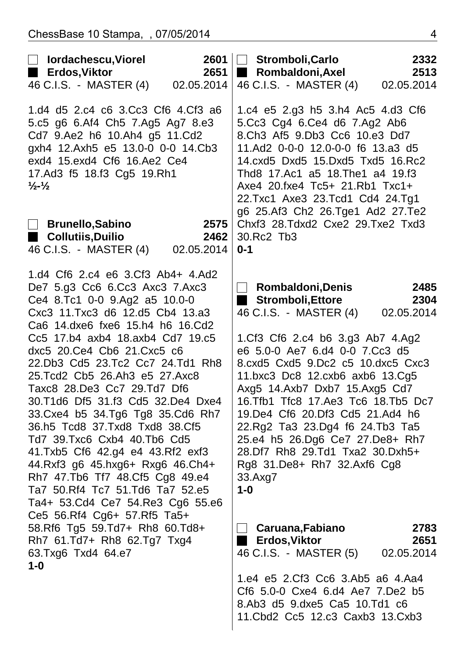| $\Box$<br>lordachescu, Viorel<br>■ Erdos,Viktor                                                                                                                                                                                                                                                                                                                                                                                                                                                                                                                                                                                                                                                                              | 2651                       | 2601   Stromboli,Carlo<br><b>Rombaldoni, Axel</b><br>a a s                                                                                                                                                                                                                                                                                                                                                                                                                                                              | 2332<br>2513               |
|------------------------------------------------------------------------------------------------------------------------------------------------------------------------------------------------------------------------------------------------------------------------------------------------------------------------------------------------------------------------------------------------------------------------------------------------------------------------------------------------------------------------------------------------------------------------------------------------------------------------------------------------------------------------------------------------------------------------------|----------------------------|-------------------------------------------------------------------------------------------------------------------------------------------------------------------------------------------------------------------------------------------------------------------------------------------------------------------------------------------------------------------------------------------------------------------------------------------------------------------------------------------------------------------------|----------------------------|
| 46 C.I.S. - MASTER (4)                                                                                                                                                                                                                                                                                                                                                                                                                                                                                                                                                                                                                                                                                                       | 02.05.2014                 | 46 C.I.S. - MASTER (4)                                                                                                                                                                                                                                                                                                                                                                                                                                                                                                  | 02.05.2014                 |
| 1.d4 d5 2.c4 c6 3.Cc3 Cf6 4.Cf3 a6<br>5.c5 g6 6.Af4 Ch5 7.Ag5 Ag7 8.e3<br>Cd7 9.Ae2 h6 10.Ah4 g5 11.Cd2<br>gxh4 12.Axh5 e5 13.0-0 0-0 14.Cb3<br>exd4 15.exd4 Cf6 16.Ae2 Ce4<br>17.Ad3 f5 18.f3 Cg5 19.Rh1<br>$\frac{1}{2}$ - $\frac{1}{2}$                                                                                                                                                                                                                                                                                                                                                                                                                                                                                   |                            | 1.c4 e5 2.g3 h5 3.h4 Ac5 4.d3 Cf6<br>5.Cc3 Cg4 6.Ce4 d6 7.Ag2 Ab6<br>8.Ch3 Af5 9.Db3 Cc6 10.e3 Dd7<br>11.Ad2 0-0-0 12.0-0-0 f6 13.a3 d5<br>14.cxd5 Dxd5 15.Dxd5 Txd5 16.Rc2<br>Thd8 17.Ac1 a5 18.The1 a4 19.f3<br>Axe4 20.fxe4 Tc5+ 21.Rb1 Txc1+<br>22.Txc1 Axe3 23.Tcd1 Cd4 24.Tg1<br>g6 25.Af3 Ch2 26.Tge1 Ad2 27.Te2                                                                                                                                                                                                 |                            |
| <b>Brunello, Sabino</b><br>$\Box$<br>■ Collutiis,Duilio<br>46 C.I.S. - MASTER (4)                                                                                                                                                                                                                                                                                                                                                                                                                                                                                                                                                                                                                                            | 2575<br>2462<br>02.05.2014 | Chxf3 28.Tdxd2 Cxe2 29.Txe2 Txd3<br>30.Rc2 Tb3<br>$0 - 1$                                                                                                                                                                                                                                                                                                                                                                                                                                                               |                            |
| 1.d4 Cf6 2.c4 e6 3.Cf3 Ab4+ 4.Ad2<br>De7 5.g3 Cc6 6.Cc3 Axc3 7.Axc3<br>Ce4 8.Tc1 0-0 9.Ag2 a5 10.0-0<br>Cxc3 11. Txc3 d6 12. d5 Cb4 13. a3<br>Ca6 14.dxe6 fxe6 15.h4 h6 16.Cd2<br>Cc5 17.b4 axb4 18.axb4 Cd7 19.c5<br>dxc5 20. Ce4 Cb6 21. Cxc5 c6<br>22.Db3 Cd5 23.Tc2 Cc7 24.Td1 Rh8<br>25. Tcd2 Cb5 26. Ah3 e5 27. Axc8<br>Taxc8 28.De3 Cc7 29.Td7 Df6<br>30.T1d6 Df5 31.f3 Cd5 32.De4 Dxe4<br>33. Cxe4 b5 34. Tg6 Tg8 35. Cd6 Rh7<br>36.h5 Tcd8 37.Txd8 Txd8 38.Cf5<br>Td7 39. Txc6 Cxb4 40. Tb6 Cd5<br>41.Txb5 Cf6 42.g4 e4 43.Rf2 exf3<br>44.Rxf3 g6 45.hxg6+ Rxg6 46.Ch4+<br>Rh7 47.Tb6 Tf7 48.Cf5 Cg8 49.e4<br>Ta7 50. Rf4 Tc7 51. Td6 Ta7 52. e5<br>Ta4+ 53.Cd4 Ce7 54.Re3 Cg6 55.e6<br>Ce5 56.Rf4 Cg6+ 57.Rf5 Ta5+ |                            | <b>Rombaldoni, Denis</b><br>$\mathbb{R}$<br><b>Stromboli, Ettore</b><br>46 C.I.S. - MASTER (4)<br>1.Cf3 Cf6 2.c4 b6 3.g3 Ab7 4.Ag2<br>e6 5.0-0 Ae7 6.d4 0-0 7.Cc3 d5<br>8.cxd5 Cxd5 9.Dc2 c5 10.dxc5 Cxc3<br>11.bxc3 Dc8 12.cxb6 axb6 13.Cg5<br>Axg5 14.Axb7 Dxb7 15.Axg5 Cd7<br>16. Tfb1 Tfc8 17. Ae3 Tc6 18. Tb5 Dc7<br>19.De4 Cf6 20.Df3 Cd5 21.Ad4 h6<br>22.Rg2 Ta3 23.Dg4 f6 24.Tb3 Ta5<br>25.e4 h5 26.Dg6 Ce7 27.De8+ Rh7<br>28.Df7 Rh8 29.Td1 Txa2 30.Dxh5+<br>Rg8 31.De8+ Rh7 32.Axf6 Cg8<br>33.Axg7<br>$1 - 0$ | 2485<br>2304<br>02.05.2014 |
| 58.Rf6 Tg5 59.Td7+ Rh8 60.Td8+<br>Rh7 61.Td7+ Rh8 62.Tg7 Txg4<br>63. Txg6 Txd4 64. e7<br>$1-0$                                                                                                                                                                                                                                                                                                                                                                                                                                                                                                                                                                                                                               |                            | Caruana,Fabiano<br>Erdos, Viktor<br>46 C.I.S. - MASTER (5)                                                                                                                                                                                                                                                                                                                                                                                                                                                              | 2783<br>2651<br>02.05.2014 |
|                                                                                                                                                                                                                                                                                                                                                                                                                                                                                                                                                                                                                                                                                                                              |                            | 1.e4 e5 2.Cf3 Cc6 3.Ab5 a6 4.Aa4<br>Cf6 5.0-0 Cxe4 6.d4 Ae7 7.De2 b5<br>8.Ab3 d5 9.dxe5 Ca5 10.Td1 c6<br>11. Cbd2 Cc5 12. c3 Caxb3 13. Cxb3                                                                                                                                                                                                                                                                                                                                                                             |                            |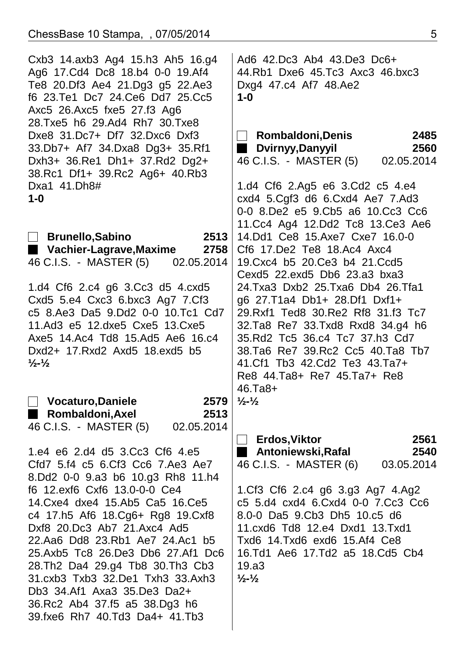| Cxb3 14.axb3 Ag4 15.h3 Ah5 16.g4<br>Ag6 17.Cd4 Dc8 18.b4 0-0 19.Af4<br>Te8 20.Df3 Ae4 21.Dg3 g5 22.Ae3<br>f6 23. Te1 Dc7 24. Ce6 Dd7 25. Cc5<br>Axc5 26.Axc5 fxe5 27.f3 Ag6<br>28. Txe5 h6 29. Ad4 Rh7 30. Txe8 | Ad6 42.Dc3 Ab4 43.De3 Dc6+<br>44.Rb1 Dxe6 45.Tc3 Axc3 46.bxc3<br>Dxg4 47.c4 Af7 48.Ae2<br>$1-0$              |  |  |
|-----------------------------------------------------------------------------------------------------------------------------------------------------------------------------------------------------------------|--------------------------------------------------------------------------------------------------------------|--|--|
| Dxe8 31.Dc7+ Df7 32.Dxc6 Dxf3<br>33.Db7+ Af7 34.Dxa8 Dg3+ 35.Rf1<br>Dxh3+ 36.Re1 Dh1+ 37.Rd2 Dg2+                                                                                                               | □ Rombaldoni,Denis<br>2485<br>Dvirnyy, Danyyil<br>2560<br>٠<br>46 C.I.S. - MASTER (5)<br>02.05.2014          |  |  |
| 38.Rc1 Df1+ 39.Rc2 Ag6+ 40.Rb3<br>Dxa1 41.Dh8#                                                                                                                                                                  | 1.d4 Cf6 2.Ag5 e6 3.Cd2 c5 4.e4                                                                              |  |  |
| $1-0$                                                                                                                                                                                                           | cxd4 5.Cgf3 d6 6.Cxd4 Ae7 7.Ad3<br>0-0 8.De2 e5 9.Cb5 a6 10.Cc3 Cc6                                          |  |  |
| 2513<br><b>Brunello, Sabino</b><br>L<br>■ Vachier-Lagrave,Maxime<br>2758                                                                                                                                        | 11. Cc4 Ag4 12. Dd2 Tc8 13. Ce3 Ae6<br>14.Dd1 Ce8 15.Axe7 Cxe7 16.0-0<br>Cf6 17. De2 Te8 18. Ac4 Axc4        |  |  |
| 46 C.I.S. - MASTER (5) 02.05.2014                                                                                                                                                                               | 19. Cxc4 b5 20. Ce3 b4 21. Ccd5<br>Cexd5 22.exd5 Db6 23.a3 bxa3                                              |  |  |
| 1.d4 Cf6 2.c4 g6 3.Cc3 d5 4.cxd5<br>Cxd5 5.e4 Cxc3 6.bxc3 Ag7 7.Cf3                                                                                                                                             | 24. Txa 3 Dxb 2 25. Txa 6 Db 4 26. Tfa 1<br>g6 27.T1a4 Db1+ 28.Df1 Dxf1+                                     |  |  |
| c5 8.Ae3 Da5 9.Dd2 0-0 10.Tc1 Cd7<br>11.Ad3 e5 12.dxe5 Cxe5 13.Cxe5                                                                                                                                             | 29. Rxf1 Ted8 30. Re2 Rf8 31. f3 Tc7<br>32. Ta8 Re7 33. Txd8 Rxd8 34. g4 h6                                  |  |  |
| Axe5 14.Ac4 Td8 15.Ad5 Ae6 16.c4<br>Dxd2+ 17. Rxd2 Axd5 18. exd5 b5<br>$\frac{1}{2}$ - $\frac{1}{2}$                                                                                                            | 35. Rd2 Tc5 36. c4 Tc7 37. h3 Cd7<br>38. Ta6 Re7 39. Rc2 Cc5 40. Ta8 Tb7<br>41. Cf1 Tb3 42. Cd2 Te3 43. Ta7+ |  |  |
|                                                                                                                                                                                                                 | Re8 44.Ta8+ Re7 45.Ta7+ Re8<br>$46. Ta8+$                                                                    |  |  |
| $\Box$ Vocaturo, Daniele<br>2579<br>Rombaldoni, Axel<br>2513<br>46 C.I.S. - MASTER (5)<br>02.05.2014                                                                                                            | $\frac{1}{2}$ - $\frac{1}{2}$                                                                                |  |  |
| 1.e4 e6 2.d4 d5 3.Cc3 Cf6 4.e5                                                                                                                                                                                  | <b>Erdos, Viktor</b><br>2561<br>$\Box$<br>2540                                                               |  |  |
| Cfd7 5.f4 c5 6.Cf3 Cc6 7.Ae3 Ae7<br>8.Dd2 0-0 9.a3 b6 10.g3 Rh8 11.h4                                                                                                                                           | Antoniewski, Rafal<br>46 C.I.S. - MASTER (6)<br>03.05.2014                                                   |  |  |
| f6 12.exf6 Cxf6 13.0-0-0 Ce4<br>14. Cxe4 dxe4 15. Ab5 Ca5 16. Ce5                                                                                                                                               | 1.Cf3 Cf6 2.c4 g6 3.g3 Ag7 4.Ag2<br>c5 5.d4 cxd4 6.Cxd4 0-0 7.Cc3 Cc6                                        |  |  |
| c4 17.h5 Af6 18.Cg6+ Rg8 19.Cxf8<br>Dxf8 20.Dc3 Ab7 21.Axc4 Ad5                                                                                                                                                 | 8.0-0 Da5 9.Cb3 Dh5 10.c5 d6<br>11.cxd6 Td8 12.e4 Dxd1 13.Txd1                                               |  |  |
| 22.Aa6 Dd8 23.Rb1 Ae7 24.Ac1 b5<br>25.Axb5 Tc8 26.De3 Db6 27.Af1 Dc6                                                                                                                                            | Txd6 14. Txd6 exd6 15. Af4 Ce8<br>16. Td1 Ae6 17. Td2 a5 18. Cd5 Cb4                                         |  |  |
| 28. Th2 Da4 29. g4 Tb8 30. Th3 Cb3<br>31.cxb3 Txb3 32.De1 Txh3 33.Axh3<br>Db3 34.Af1 Axa3 35.De3 Da2+                                                                                                           | 19.a3<br>$\frac{1}{2} - \frac{1}{2}$                                                                         |  |  |
| 36.Rc2 Ab4 37.f5 a5 38.Dg3 h6<br>39. fxe6 Rh7 40. Td3 Da4+ 41. Tb3                                                                                                                                              |                                                                                                              |  |  |
|                                                                                                                                                                                                                 |                                                                                                              |  |  |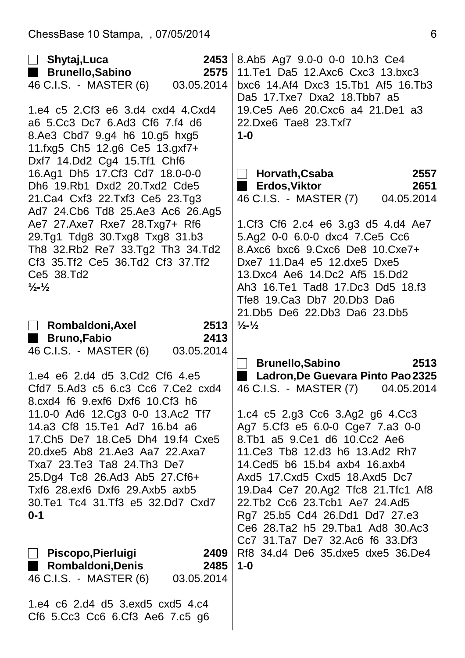| Shytaj, Luca<br>$\Box$                                               | 2453       | 8.Ab5 Ag7 9.0-0 0-0 10.h3 Ce4                                            |            |  |
|----------------------------------------------------------------------|------------|--------------------------------------------------------------------------|------------|--|
| Brunello, Sabino                                                     | 2575       | 11.Te1 Da5 12.Axc6 Cxc3 13.bxc3                                          |            |  |
| 46 C.I.S. - MASTER (6) 03.05.2014                                    |            | bxc6 14.Af4 Dxc3 15.Tb1 Af5 16.Tb3                                       |            |  |
|                                                                      |            | Da5 17. Txe7 Dxa2 18. Tbb7 a5                                            |            |  |
| 1.e4 c5 2.Cf3 e6 3.d4 cxd4 4.Cxd4                                    |            | 19. Ce 5 Ae 6 20. Cxc 6 a 4 21. De 1 a 3                                 |            |  |
| a6 5.Cc3 Dc7 6.Ad3 Cf6 7.f4 d6                                       |            | 22.Dxe6 Tae8 23.Txf7                                                     |            |  |
| 8.Ae3 Cbd7 9.g4 h6 10.g5 hxg5                                        |            | $1-0$                                                                    |            |  |
| 11.fxg5 Ch5 12.g6 Ce5 13.gxf7+                                       |            |                                                                          |            |  |
| Dxf7 14.Dd2 Cg4 15.Tf1 Chf6                                          |            |                                                                          |            |  |
| 16.Ag1 Dh5 17.Cf3 Cd7 18.0-0-0                                       |            | Horvath,Csaba                                                            | 2557       |  |
| Dh6 19.Rb1 Dxd2 20.Txd2 Cde5                                         |            | <b>Erdos, Viktor</b><br>$\blacksquare$                                   | 2651       |  |
| 21. Ca4 Cxf3 22. Txf3 Ce5 23. Tg3                                    |            | 46 C.I.S. - MASTER (7)                                                   | 04.05.2014 |  |
| Ad7 24.Cb6 Td8 25.Ae3 Ac6 26.Ag5                                     |            |                                                                          |            |  |
| Ae7 27.Axe7 Rxe7 28.Txg7+ Rf6                                        |            | 1.Cf3 Cf6 2.c4 e6 3.g3 d5 4.d4 Ae7                                       |            |  |
| 29.Tg1 Tdg8 30.Txg8 Txg8 31.b3                                       |            | 5.Ag2 0-0 6.0-0 dxc4 7.Ce5 Cc6                                           |            |  |
| Th8 32.Rb2 Re7 33.Tg2 Th3 34.Td2                                     |            | 8.Axc6 bxc6 9.Cxc6 De8 10.Cxe7+                                          |            |  |
| Cf3 35. Tf2 Ce5 36. Td2 Cf3 37. Tf2                                  |            | Dxe7 11.Da4 e5 12.dxe5 Dxe5                                              |            |  |
| Ce5 38.Td2                                                           |            | 13.Dxc4 Ae6 14.Dc2 Af5 15.Dd2                                            |            |  |
| $\frac{1}{2}$ - $\frac{1}{2}$                                        |            | Ah3 16. Te1 Tad8 17. Dc3 Dd5 18. f3                                      |            |  |
|                                                                      |            | Tfe8 19.Ca3 Db7 20.Db3 Da6                                               |            |  |
|                                                                      |            | 21.Db5 De6 22.Db3 Da6 23.Db5                                             |            |  |
| Rombaldoni, Axel                                                     | 2513       | $\frac{1}{2}$ - $\frac{1}{2}$                                            |            |  |
|                                                                      |            |                                                                          |            |  |
|                                                                      |            |                                                                          |            |  |
| <b>Bruno,Fabio</b><br>a a s                                          | 2413       |                                                                          |            |  |
| 46 C.I.S. - MASTER (6) 03.05.2014                                    |            |                                                                          |            |  |
|                                                                      |            | <b>Brunello, Sabino</b>                                                  | 2513       |  |
| 1.e4 e6 2.d4 d5 3.Cd2 Cf6 4.e5                                       |            | Ladron, De Guevara Pinto Pao 2325                                        |            |  |
| Cfd7 5.Ad3 c5 6.c3 Cc6 7.Ce2 cxd4<br>8.cxd4 f6 9.exf6 Dxf6 10.Cf3 h6 |            | 46 C.I.S. - MASTER (7)                                                   | 04.05.2014 |  |
|                                                                      |            |                                                                          |            |  |
| 11.0-0 Ad6 12.Cg3 0-0 13.Ac2 Tf7<br>14.a3 Cf8 15. Te1 Ad7 16.b4 a6   |            | 1.c4 c5 2.g3 Cc6 3.Ag2 g6 4.Cc3                                          |            |  |
| 17. Ch5 De7 18. Ce5 Dh4 19. f4 Cxe5                                  |            | Ag7 5.Cf3 e5 6.0-0 Cge7 7.a3 0-0<br>8. Tb1 a5 9. Ce1 d6 10. Cc2 Ae6      |            |  |
| 20. dxe5 Ab8 21. Ae3 Aa7 22. Axa7                                    |            | 11. Ce 3 Tb 8 12. d 3 h 6 13. Ad 2 Rh 7                                  |            |  |
| Txa7 23.Te3 Ta8 24.Th3 De7                                           |            | 14. Ced 5 b6 15. b4 axb4 16. axb4                                        |            |  |
| 25.Dg4 Tc8 26.Ad3 Ab5 27.Cf6+                                        |            | Axd5 17. Cxd5 Cxd5 18. Axd5 Dc7                                          |            |  |
| Txf6 28.exf6 Dxf6 29.Axb5 axb5                                       |            |                                                                          |            |  |
| 30. Te1 Tc4 31. Tf3 e5 32. Dd7 Cxd7                                  |            | 19. Da 4 Ce7 20. Ag 2 Tfc8 21. Tfc1 Af8<br>22.Tb2 Cc6 23.Tcb1 Ae7 24.Ad5 |            |  |
| $0 - 1$                                                              |            |                                                                          |            |  |
|                                                                      |            | Rg7 25.b5 Cd4 26.Dd1 Dd7 27.e3<br>Ce6 28.Ta2 h5 29.Tba1 Ad8 30.Ac3       |            |  |
|                                                                      |            | Cc7 31.Ta7 De7 32.Ac6 f6 33.Df3                                          |            |  |
| Piscopo,Pierluigi                                                    | 2409       | Rf8 34.d4 De6 35.dxe5 dxe5 36.De4                                        |            |  |
| <b>Rombaldoni, Denis</b>                                             | 2485       | $1 - 0$                                                                  |            |  |
| 46 C.I.S. - MASTER (6)                                               | 03.05.2014 |                                                                          |            |  |
|                                                                      |            |                                                                          |            |  |
| 1.e4 c6 2.d4 d5 3.exd5 cxd5 4.c4<br>Cf6 5.Cc3 Cc6 6.Cf3 Ae6 7.c5 g6  |            |                                                                          |            |  |